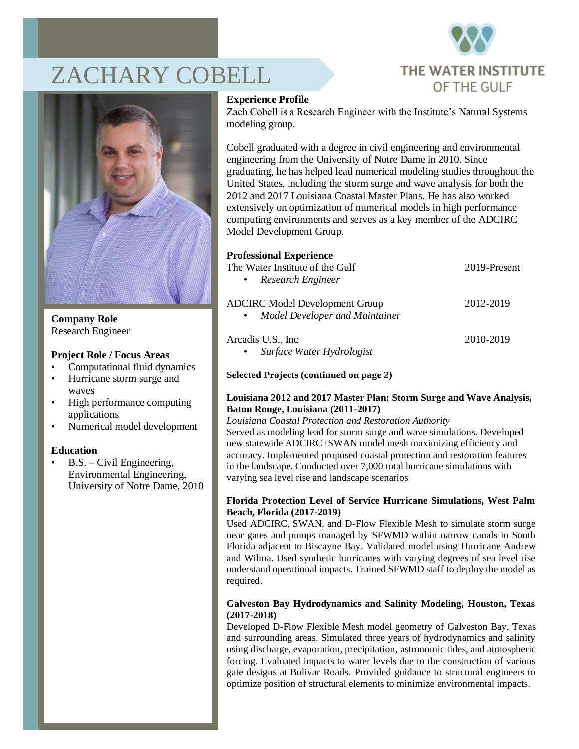

# ZACHARY COBELL



**Company Role** Research Engineer

#### **Project Role / Focus Areas**

- Computational fluid dynamics
- Hurricane storm surge and waves
- High performance computing applications
- Numerical model development

#### **Education**

• B.S. – Civil Engineering, Environmental Engineering, University of Notre Dame, 2010

#### **Experience Profile**

Zach Cobell is a Research Engineer with the Institute's Natural Systems modeling group.

Cobell graduated with a degree in civil engineering and environmental engineering from the University of Notre Dame in 2010. Since graduating, he has helped lead numerical modeling studies throughout the United States, including the storm surge and wave analysis for both the 2012 and 2017 Louisiana Coastal Master Plans. He has also worked extensively on optimization of numerical models in high performance computing environments and serves as a key member of the ADCIRC Model Development Group.

## **Professional Experience**

| The Water Institute of the Gulf<br>Research Engineer<br>$\bullet$ .                    | 2019-Present |
|----------------------------------------------------------------------------------------|--------------|
| <b>ADCIRC</b> Model Development Group<br>Model Developer and Maintainer<br>$\bullet$ . | 2012-2019    |
| Arcadis U.S., Inc.<br>Surface Water Hydrologist<br>$\bullet$                           | 2010-2019    |

#### **Selected Projects (continued on page 2)**

#### **Louisiana 2012 and 2017 Master Plan: Storm Surge and Wave Analysis, Baton Rouge, Louisiana (2011-2017)**

*Louisiana Coastal Protection and Restoration Authority* Served as modeling lead for storm surge and wave simulations. Developed new statewide ADCIRC+SWAN model mesh maximizing efficiency and accuracy. Implemented proposed coastal protection and restoration features in the landscape. Conducted over 7,000 total hurricane simulations with varying sea level rise and landscape scenarios

#### **Florida Protection Level of Service Hurricane Simulations, West Palm Beach, Florida (2017-2019)**

Used ADCIRC, SWAN, and D-Flow Flexible Mesh to simulate storm surge near gates and pumps managed by SFWMD within narrow canals in South Florida adjacent to Biscayne Bay. Validated model using Hurricane Andrew and Wilma. Used synthetic hurricanes with varying degrees of sea level rise understand operational impacts. Trained SFWMD staff to deploy the model as required.

#### **Galveston Bay Hydrodynamics and Salinity Modeling, Houston, Texas (2017-2018)**

Developed D-Flow Flexible Mesh model geometry of Galveston Bay, Texas and surrounding areas. Simulated three years of hydrodynamics and salinity using discharge, evaporation, precipitation, astronomic tides, and atmospheric forcing. Evaluated impacts to water levels due to the construction of various gate designs at Bolivar Roads. Provided guidance to structural engineers to optimize position of structural elements to minimize environmental impacts.